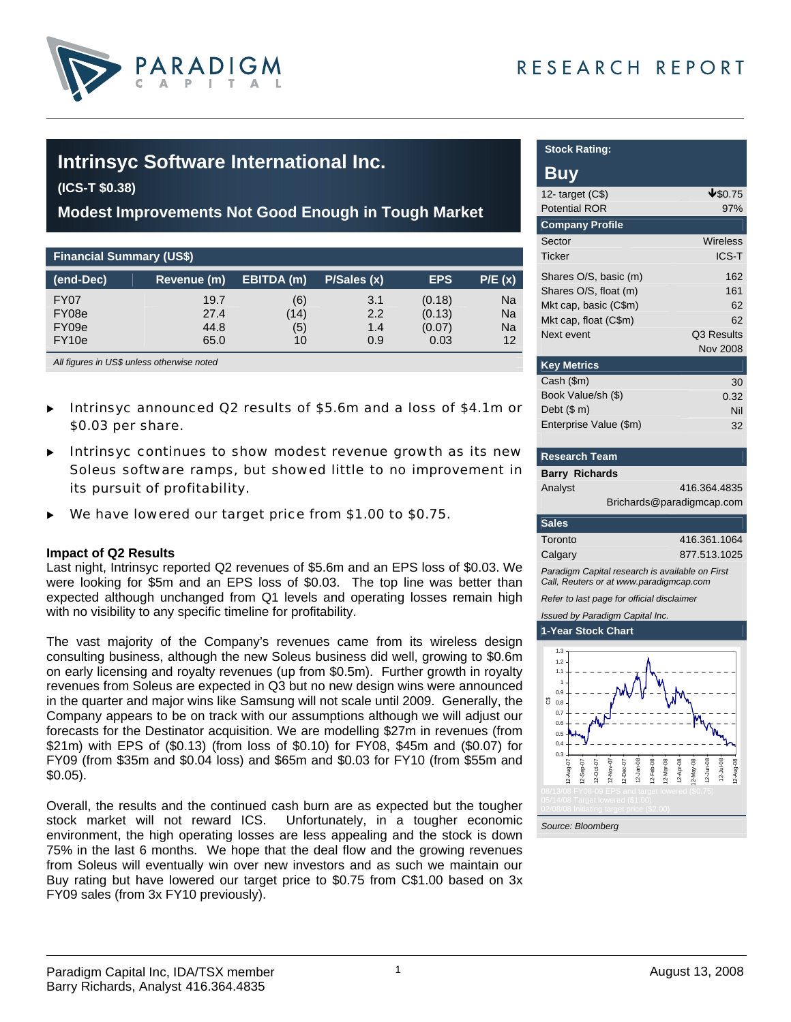



# **Intrinsyc Software International Inc.**

**(ICS-T \$0.38)** 

**Modest Improvements Not Good Enough in Tough Market** 

| <b>Financial Summary (US\$)</b> |             |            |             |            |           |  |  |  |
|---------------------------------|-------------|------------|-------------|------------|-----------|--|--|--|
| (end-Dec)                       | Revenue (m) | EBITDA (m) | P/Sales (x) | <b>EPS</b> | P/E(x)    |  |  |  |
| FY07                            | 19.7        | (6)        | 3.1         | (0.18)     | <b>Na</b> |  |  |  |
| FY08e                           | 27.4        | (14)       | 2.2         | (0.13)     | Na        |  |  |  |
| FY09e                           | 44.8        | (5)        | 1.4         | (0.07)     | Na        |  |  |  |
| FY <sub>10e</sub>               | 65.0        | 10         | 0.9         | 0.03       | 12        |  |  |  |

*All figures in US\$ unless otherwise noted* 

- Intrinsyc announced Q2 results of \$5.6m and a loss of \$4.1m or \$0.03 per share.
- Intrinsyc continues to show modest revenue growth as its new Soleus software ramps, but showed little to no improvement in its pursuit of profitability.
- We have lowered our target price from \$1.00 to \$0.75.

#### **Impact of Q2 Results**

Last night, Intrinsyc reported Q2 revenues of \$5.6m and an EPS loss of \$0.03. We were looking for \$5m and an EPS loss of \$0.03. The top line was better than expected although unchanged from Q1 levels and operating losses remain high with no visibility to any specific timeline for profitability.

The vast majority of the Company's revenues came from its wireless design consulting business, although the new Soleus business did well, growing to \$0.6m on early licensing and royalty revenues (up from \$0.5m). Further growth in royalty revenues from Soleus are expected in Q3 but no new design wins were announced in the quarter and major wins like Samsung will not scale until 2009. Generally, the Company appears to be on track with our assumptions although we will adjust our forecasts for the Destinator acquisition. We are modelling \$27m in revenues (from \$21m) with EPS of (\$0.13) (from loss of \$0.10) for FY08, \$45m and (\$0.07) for FY09 (from \$35m and \$0.04 loss) and \$65m and \$0.03 for FY10 (from \$55m and \$0.05).

Overall, the results and the continued cash burn are as expected but the tougher stock market will not reward ICS. Unfortunately, in a tougher economic environment, the high operating losses are less appealing and the stock is down 75% in the last 6 months. We hope that the deal flow and the growing revenues from Soleus will eventually win over new investors and as such we maintain our Buy rating but have lowered our target price to \$0.75 from C\$1.00 based on 3x FY09 sales (from 3x FY10 previously).

| <b>Stock Rating:</b>                                                                       |                           |
|--------------------------------------------------------------------------------------------|---------------------------|
| Buy                                                                                        |                           |
| 12- target $(C$)$                                                                          | 4\$0.75                   |
| Potential ROR                                                                              | 97%                       |
| <b>Company Profile</b>                                                                     |                           |
| Sector                                                                                     | Wireless                  |
| Ticker                                                                                     | <b>ICS-T</b>              |
| Shares O/S, basic (m)                                                                      | 162                       |
| Shares O/S, float (m)                                                                      | 161                       |
| Mkt cap, basic (C\$m)                                                                      | 62                        |
| Mkt cap, float (C\$m)                                                                      | 62                        |
| Next event                                                                                 | Q3 Results                |
|                                                                                            | <b>Nov 2008</b>           |
| <b>Key Metrics</b>                                                                         |                           |
| Cash (\$m)                                                                                 | 30                        |
| Book Value/sh (\$)                                                                         | 0.32                      |
| Debt $($m)$                                                                                | Nil                       |
| Enterprise Value (\$m)                                                                     | 32                        |
| <b>Research Team</b>                                                                       |                           |
| <b>Barry Richards</b>                                                                      |                           |
| Analyst                                                                                    | 416.364.4835              |
|                                                                                            | Brichards@paradigmcap.com |
| <b>Sales</b>                                                                               |                           |
| Toronto                                                                                    | 416.361.1064              |
| Calgary                                                                                    | 877.513.1025              |
| Paradigm Capital research is available on First<br>Call, Reuters or at www.paradigmcap.com |                           |
| Refer to last page for official disclaimer                                                 |                           |

*Issued by Paradigm Capital Inc.* **1-Year Stock Chart** 

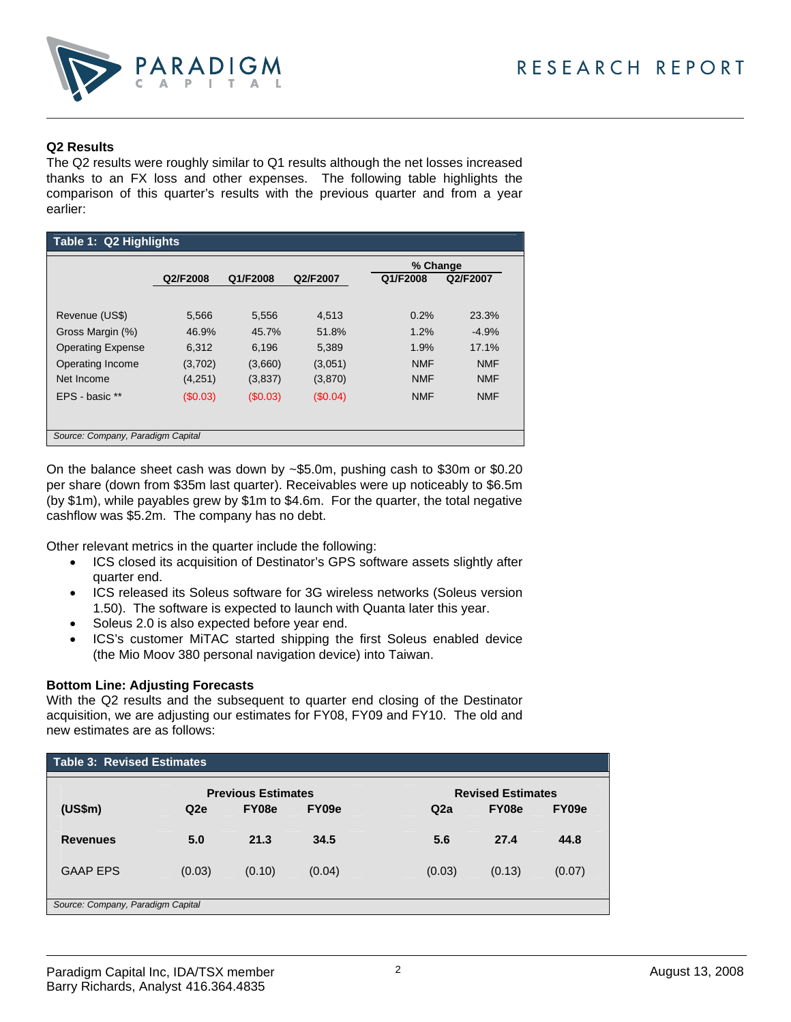

### **Q2 Results**

The Q2 results were roughly similar to Q1 results although the net losses increased thanks to an FX loss and other expenses. The following table highlights the comparison of this quarter's results with the previous quarter and from a year earlier:

| Table 1: Q2 Highlights            |          |          |          |            |            |  |  |  |
|-----------------------------------|----------|----------|----------|------------|------------|--|--|--|
|                                   |          |          |          | % Change   |            |  |  |  |
|                                   | Q2/F2008 | Q1/F2008 | Q2/F2007 | Q1/F2008   | Q2/F2007   |  |  |  |
|                                   |          |          |          |            |            |  |  |  |
| Revenue (US\$)                    | 5,566    | 5,556    | 4,513    | 0.2%       | 23.3%      |  |  |  |
| Gross Margin (%)                  | 46.9%    | 45.7%    | 51.8%    | 1.2%       | $-4.9%$    |  |  |  |
| <b>Operating Expense</b>          | 6,312    | 6.196    | 5,389    | 1.9%       | 17.1%      |  |  |  |
| Operating Income                  | (3,702)  | (3,660)  | (3,051)  | <b>NMF</b> | <b>NMF</b> |  |  |  |
| Net Income                        | (4,251)  | (3,837)  | (3,870)  | <b>NMF</b> | <b>NMF</b> |  |  |  |
| EPS - basic **                    | (\$0.03) | (\$0.03) | (S0.04)  | <b>NMF</b> | <b>NMF</b> |  |  |  |
|                                   |          |          |          |            |            |  |  |  |
| Source: Company, Paradigm Capital |          |          |          |            |            |  |  |  |
|                                   |          |          |          |            |            |  |  |  |

On the balance sheet cash was down by ~\$5.0m, pushing cash to \$30m or \$0.20 per share (down from \$35m last quarter). Receivables were up noticeably to \$6.5m (by \$1m), while payables grew by \$1m to \$4.6m. For the quarter, the total negative cashflow was \$5.2m. The company has no debt.

Other relevant metrics in the quarter include the following:

- ICS closed its acquisition of Destinator's GPS software assets slightly after quarter end.
- ICS released its Soleus software for 3G wireless networks (Soleus version 1.50). The software is expected to launch with Quanta later this year.
- Soleus 2.0 is also expected before year end.
- ICS's customer MiTAC started shipping the first Soleus enabled device (the Mio Moov 380 personal navigation device) into Taiwan.

### **Bottom Line: Adjusting Forecasts**

With the Q2 results and the subsequent to quarter end closing of the Destinator acquisition, we are adjusting our estimates for FY08, FY09 and FY10. The old and new estimates are as follows:

| Table 3: Revised Estimates        |                           |        |        |                          |        |        |  |  |
|-----------------------------------|---------------------------|--------|--------|--------------------------|--------|--------|--|--|
|                                   | <b>Previous Estimates</b> |        |        | <b>Revised Estimates</b> |        |        |  |  |
| (US\$m)                           | Q2e                       | FY08e  | FY09e  | Q2a                      | FY08e  | FY09e  |  |  |
| <b>Revenues</b>                   | 5.0                       | 21.3   | 34.5   | 5.6                      | 27.4   | 44.8   |  |  |
| <b>GAAP EPS</b>                   | (0.03)                    | (0.10) | (0.04) | (0.03)                   | (0.13) | (0.07) |  |  |
| Source: Company, Paradigm Capital |                           |        |        |                          |        |        |  |  |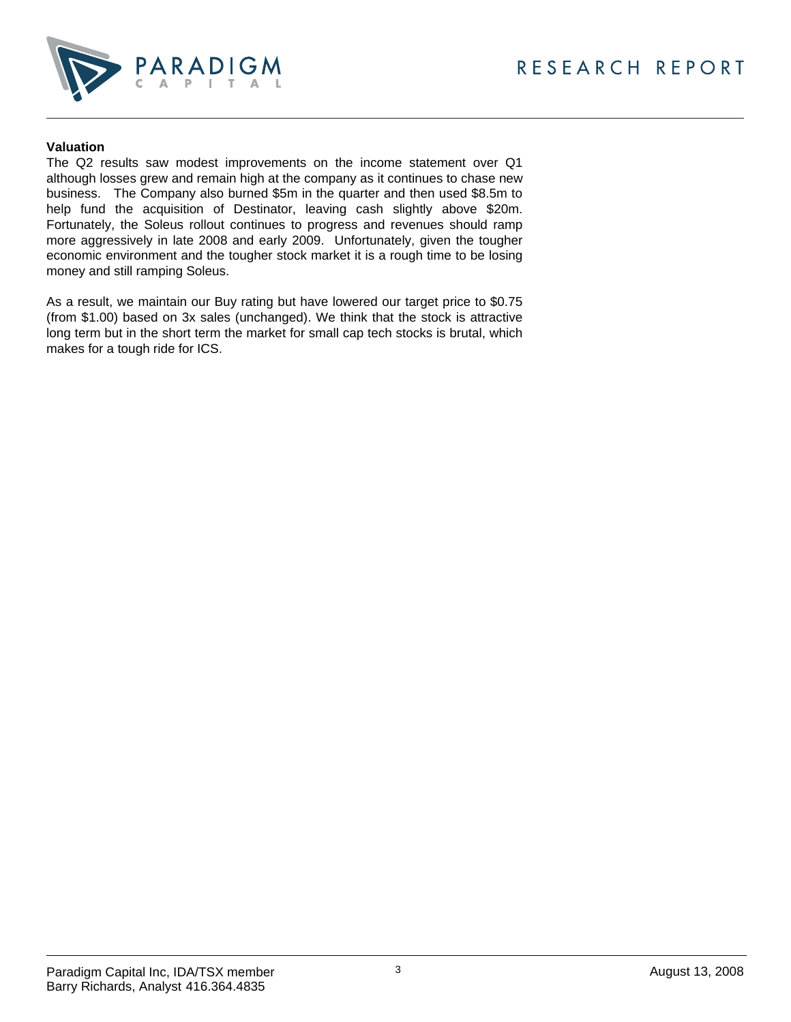

#### **Valuation**

The Q2 results saw modest improvements on the income statement over Q1 although losses grew and remain high at the company as it continues to chase new business. The Company also burned \$5m in the quarter and then used \$8.5m to help fund the acquisition of Destinator, leaving cash slightly above \$20m. Fortunately, the Soleus rollout continues to progress and revenues should ramp more aggressively in late 2008 and early 2009. Unfortunately, given the tougher economic environment and the tougher stock market it is a rough time to be losing money and still ramping Soleus.

As a result, we maintain our Buy rating but have lowered our target price to \$0.75 (from \$1.00) based on 3x sales (unchanged). We think that the stock is attractive long term but in the short term the market for small cap tech stocks is brutal, which makes for a tough ride for ICS.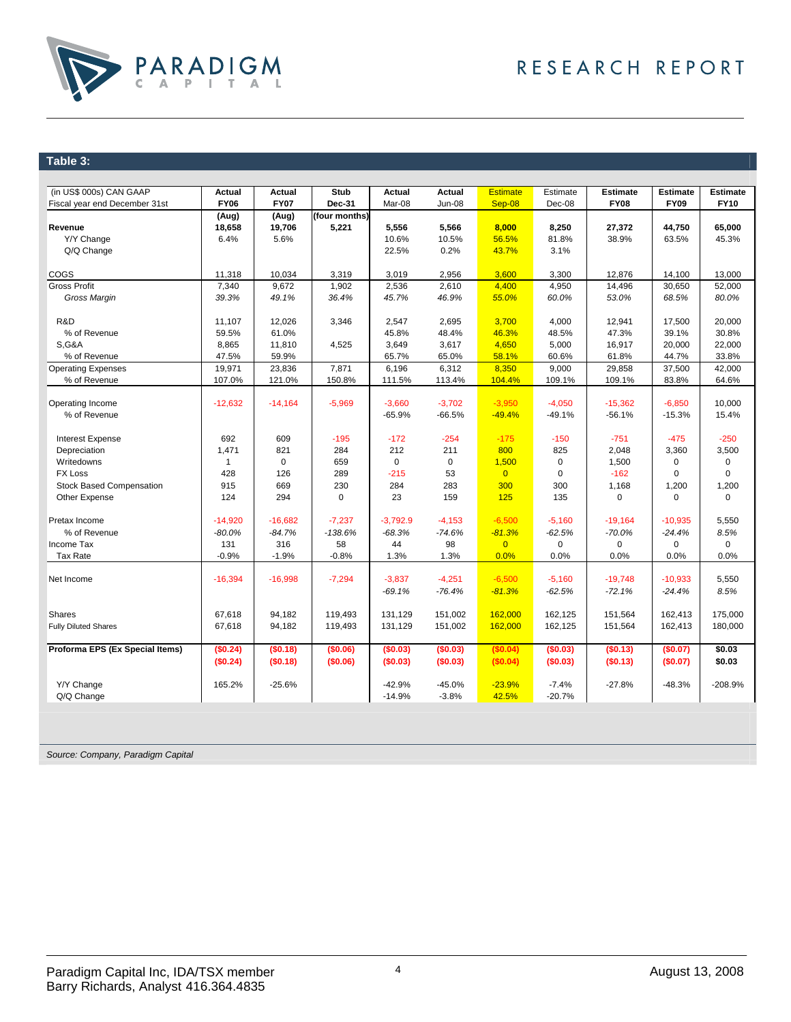

### **Table 3:**

| (in US\$ 000s) CAN GAAP         | Actual       | Actual      | <b>Stub</b>   | Actual             | Actual        | <b>Estimate</b> | Estimate    | <b>Estimate</b> | <b>Estimate</b> | <b>Estimate</b> |
|---------------------------------|--------------|-------------|---------------|--------------------|---------------|-----------------|-------------|-----------------|-----------------|-----------------|
| Fiscal year end December 31st   | <b>FY06</b>  | <b>FY07</b> | Dec-31        | Mar-08             | <b>Jun-08</b> | $Sep-08$        | Dec-08      | <b>FY08</b>     | <b>FY09</b>     | <b>FY10</b>     |
|                                 | (Aug)        | (Aug)       | (four months) |                    |               |                 |             |                 |                 |                 |
| Revenue                         | 18,658       | 19,706      | 5,221         | 5,556              | 5,566         | 8,000           | 8,250       | 27,372          | 44,750          | 65,000          |
| Y/Y Change                      | 6.4%         | 5.6%        |               | 10.6%              | 10.5%         | 56.5%           | 81.8%       | 38.9%           | 63.5%           | 45.3%           |
| Q/Q Change                      |              |             |               | 22.5%              | 0.2%          | 43.7%           | 3.1%        |                 |                 |                 |
|                                 |              |             |               |                    |               |                 |             |                 |                 |                 |
| <b>COGS</b>                     | 11,318       | 10,034      | 3,319         | 3,019              | 2,956         | 3,600           | 3,300       | 12,876          | 14,100          | 13,000          |
| <b>Gross Profit</b>             | 7,340        | 9,672       | 1,902         | 2,536              | 2,610         | 4,400           | 4,950       | 14,496          | 30,650          | 52,000          |
| Gross Margin                    | 39.3%        | 49.1%       | 36.4%         | 45.7%              | 46.9%         | 55.0%           | 60.0%       | 53.0%           | 68.5%           | 80.0%           |
|                                 |              |             |               |                    |               |                 |             |                 |                 |                 |
| R&D                             | 11,107       | 12,026      | 3,346         | 2,547              | 2,695         | 3,700           | 4,000       | 12,941          | 17,500          | 20,000          |
| % of Revenue                    | 59.5%        | 61.0%       |               | 45.8%              | 48.4%         | 46.3%           | 48.5%       | 47.3%           | 39.1%           | 30.8%           |
| <b>S,G&amp;A</b>                | 8,865        | 11,810      | 4,525         | 3,649              | 3,617         | 4,650           | 5,000       | 16,917          | 20,000          | 22,000          |
| % of Revenue                    | 47.5%        | 59.9%       |               | 65.7%              | 65.0%         | 58.1%           | 60.6%       | 61.8%           | 44.7%           | 33.8%           |
| <b>Operating Expenses</b>       | 19,971       | 23,836      | 7,871         | 6,196              | 6,312         | 8,350           | 9,000       | 29,858          | 37,500          | 42,000          |
| % of Revenue                    | 107.0%       | 121.0%      | 150.8%        | 111.5%             | 113.4%        | 104.4%          | 109.1%      | 109.1%          | 83.8%           | 64.6%           |
|                                 |              |             |               |                    |               |                 |             |                 |                 |                 |
| Operating Income                | $-12,632$    | $-14,164$   | $-5,969$      | $-3,660$           | $-3,702$      | $-3.950$        | $-4,050$    | $-15,362$       | $-6,850$        | 10,000          |
| % of Revenue                    |              |             |               | $-65.9%$           | $-66.5%$      | $-49.4%$        | $-49.1%$    | $-56.1%$        | $-15.3%$        | 15.4%           |
|                                 |              |             |               |                    |               |                 |             |                 |                 |                 |
| Interest Expense                | 692          | 609         | $-195$        | $-172$             | $-254$        | $-175$          | $-150$      | $-751$          | $-475$          | $-250$          |
| Depreciation                    | 1,471        | 821         | 284           | 212                | 211           | 800             | 825         | 2,048           | 3,360           | 3,500           |
| Writedowns                      | $\mathbf{1}$ | $\mathbf 0$ | 659           | $\mathbf 0$        | $\mathbf 0$   | 1,500           | $\mathbf 0$ | 1,500           | 0               | $\mathbf 0$     |
| <b>FX Loss</b>                  | 428          | 126         | 289           | $-215$             | 53            | $\overline{0}$  | $\mathbf 0$ | $-162$          | $\mathbf 0$     | $\mathbf 0$     |
| <b>Stock Based Compensation</b> | 915          | 669         | 230           | 284                | 283           | 300             | 300         | 1,168           | 1,200           | 1,200           |
| Other Expense                   | 124          | 294         | $\mathbf 0$   | 23                 | 159           | 125             | 135         | $\mathbf 0$     | $\mathbf 0$     | 0               |
|                                 |              |             |               |                    |               |                 |             |                 |                 |                 |
| Pretax Income                   | $-14,920$    | $-16,682$   | $-7,237$      | $-3,792.9$         | $-4,153$      | $-6,500$        | $-5,160$    | $-19,164$       | $-10,935$       | 5,550           |
| % of Revenue                    | $-80.0%$     | $-84.7%$    | $-138.6%$     | $-68.3%$           | $-74.6%$      | $-81.3%$        | $-62.5%$    | $-70.0%$        | $-24.4%$        | 8.5%            |
| Income Tax                      | 131          | 316         | 58            | 44                 | 98            | $\overline{0}$  | $\mathbf 0$ | $\mathbf 0$     | $\mathbf 0$     | $\Omega$        |
| Tax Rate                        | $-0.9%$      | $-1.9%$     | $-0.8%$       | 1.3%               | 1.3%          | 0.0%            | 0.0%        | 0.0%            | 0.0%            | 0.0%            |
|                                 |              |             |               |                    |               |                 |             |                 |                 |                 |
| Net Income                      | $-16,394$    | $-16,998$   | $-7,294$      | $-3,837$           | $-4,251$      | $-6,500$        | $-5,160$    | $-19,748$       | $-10,933$       | 5,550           |
|                                 |              |             |               | $-69.1%$           | $-76.4%$      | $-81.3%$        | $-62.5%$    | $-72.1%$        | $-24.4%$        | 8.5%            |
|                                 |              |             |               |                    |               |                 |             |                 |                 |                 |
| <b>Shares</b>                   | 67,618       | 94,182      | 119,493       | 131,129<br>131.129 | 151,002       | 162,000         | 162,125     | 151,564         | 162,413         | 175,000         |
| <b>Fully Diluted Shares</b>     | 67,618       | 94,182      | 119,493       |                    | 151,002       | 162,000         | 162,125     | 151,564         | 162,413         | 180,000         |
| Proforma EPS (Ex Special Items) | (\$0.24)     | (\$0.18)    | (\$0.06)      | (\$0.03)           | (\$0.03)      | (\$0.04)        | (\$0.03)    | (\$0.13)        | (\$0.07)        | \$0.03          |
|                                 | (\$0.24)     | (\$0.18)    | (\$0.06)      | (\$0.03)           | (\$0.03)      | (\$0.04)        | (\$0.03)    | (\$0.13)        | (\$0.07)        | \$0.03          |
|                                 |              |             |               |                    |               |                 |             |                 |                 |                 |
| Y/Y Change                      | 165.2%       | $-25.6%$    |               | $-42.9%$           | $-45.0%$      | $-23.9%$        | $-7.4%$     | $-27.8%$        | $-48.3%$        | $-208.9%$       |
| Q/Q Change                      |              |             |               | $-14.9%$           | $-3.8%$       | 42.5%           | $-20.7%$    |                 |                 |                 |
|                                 |              |             |               |                    |               |                 |             |                 |                 |                 |

*Source: Company, Paradigm Capital*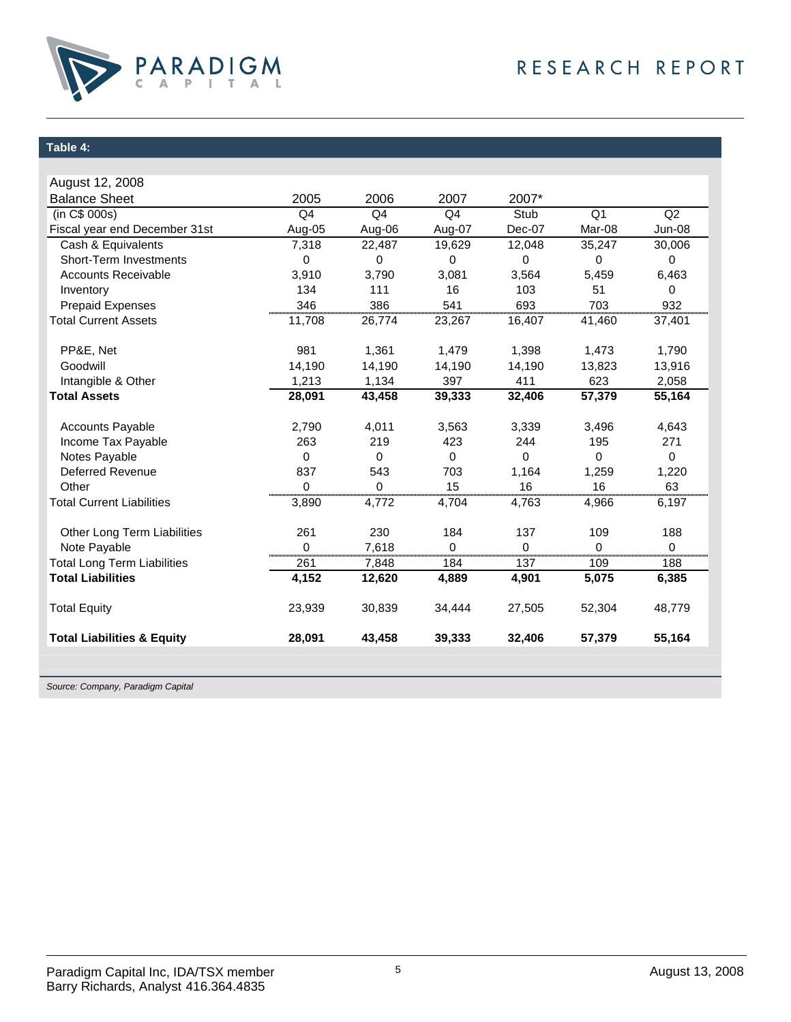

## **Table 4:**

| August 12, 2008                       |                |                |             |             |                |          |
|---------------------------------------|----------------|----------------|-------------|-------------|----------------|----------|
| <b>Balance Sheet</b>                  | 2005           | 2006           | 2007        | 2007*       |                |          |
| (in C\$ 000s)                         | Q <sub>4</sub> | Q <sub>4</sub> | Q4          | Stub        | Q <sub>1</sub> | Q2       |
| Fiscal year end December 31st         | Aug-05         | Aug-06         | Aug-07      | Dec-07      | Mar-08         | Jun-08   |
| Cash & Equivalents                    | 7,318          | 22,487         | 19,629      | 12,048      | 35,247         | 30,006   |
| Short-Term Investments                | $\mathbf 0$    | 0              | 0           | $\mathbf 0$ | 0              | 0        |
| <b>Accounts Receivable</b>            | 3,910          | 3,790          | 3,081       | 3,564       | 5,459          | 6,463    |
| Inventory                             | 134            | 111            | 16          | 103         | 51             | 0        |
| <b>Prepaid Expenses</b>               | 346            | 386            | 541         | 693         | 703            | 932      |
| <b>Total Current Assets</b>           | 11,708         | 26,774         | 23,267      | 16,407      | 41,460         | 37,401   |
| PP&E, Net                             | 981            | 1,361          | 1,479       | 1,398       | 1,473          | 1,790    |
| Goodwill                              | 14.190         | 14,190         | 14,190      | 14,190      | 13,823         | 13,916   |
| Intangible & Other                    | 1,213          | 1,134          | 397         | 411         | 623            | 2,058    |
| <b>Total Assets</b>                   | 28,091         | 43,458         | 39,333      | 32,406      | 57,379         | 55,164   |
| <b>Accounts Payable</b>               | 2,790          | 4,011          | 3,563       | 3,339       | 3,496          | 4,643    |
| Income Tax Payable                    | 263            | 219            | 423         | 244         | 195            | 271      |
| Notes Payable                         | $\Omega$       | $\Omega$       | $\mathbf 0$ | $\Omega$    | 0              | 0        |
| <b>Deferred Revenue</b>               | 837            | 543            | 703         | 1,164       | 1,259          | 1,220    |
| Other                                 | 0              | 0              | 15          | 16          | 16             | 63       |
| <b>Total Current Liabilities</b>      | 3,890          | 4,772          | 4,704       | 4,763       | 4,966          | 6,197    |
| Other Long Term Liabilities           | 261            | 230            | 184         | 137         | 109            | 188      |
| Note Payable                          | 0              | 7,618          | 0           | $\Omega$    | $\Omega$       | $\Omega$ |
| <b>Total Long Term Liabilities</b>    | <br>261        | 7,848          | <br>184     | <br>137     | <br>109        | <br>188  |
| <b>Total Liabilities</b>              | 4,152          | 12,620         | 4,889       | 4,901       | 5,075          | 6,385    |
| <b>Total Equity</b>                   | 23,939         | 30,839         | 34,444      | 27,505      | 52,304         | 48,779   |
| <b>Total Liabilities &amp; Equity</b> | 28,091         | 43,458         | 39,333      | 32,406      | 57,379         | 55,164   |
|                                       |                |                |             |             |                |          |
|                                       |                |                |             |             |                |          |

*Source: Company, Paradigm Capital*